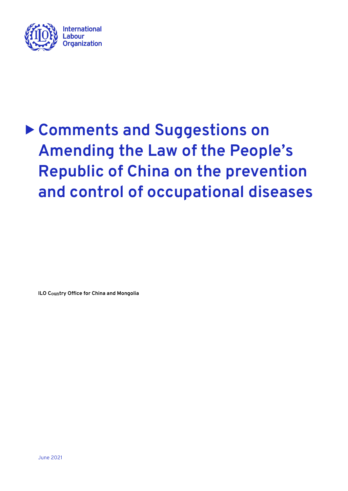

# **Comments and Suggestions on Amending the Law of the People's Republic of China on the prevention and control of occupational diseases**

**ILO C**oun**try Office for China and Mongolia**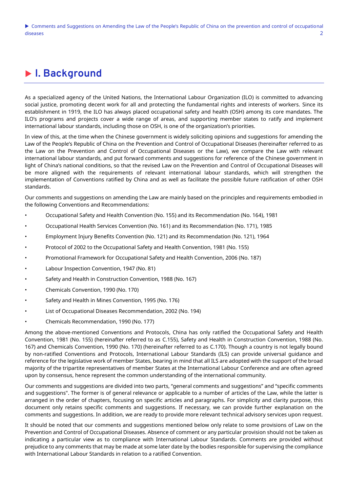# **I. Background**

As a specialized agency of the United Nations, the International Labour Organization (ILO) is committed to advancing social justice, promoting decent work for all and protecting the fundamental rights and interests of workers. Since its establishment in 1919, the ILO has always placed occupational safety and health (OSH) among its core mandates. The ILO's programs and projects cover a wide range of areas, and supporting member states to ratify and implement international labour standards, including those on OSH, is one of the organization's priorities.

In view of this, at the time when the Chinese government is widely soliciting opinions and suggestions for amending the Law of the People's Republic of China on the Prevention and Control of Occupational Diseases (hereinafter referred to as the Law on the Prevention and Control of Occupational Diseases or the Law), we compare the Law with relevant international labour standards, and put forward comments and suggestions for reference of the Chinese government in light of China's national conditions, so that the revised Law on the Prevention and Control of Occupational Diseases will be more aligned with the requirements of relevant international labour standards, which will strengthen the implementation of Conventions ratified by China and as well as facilitate the possible future ratification of other OSH standards.

Our comments and suggestions on amending the Law are mainly based on the principles and requirements embodied in the following Conventions and Recommendations:

- Occupational Safety and Health Convention (No. 155) and its Recommendation (No. 164), 1981
- Occupational Health Services Convention (No. 161) and its Recommendation (No. 171), 1985
- Employment Injury Benefits Convention (No. 121) and its Recommendation (No. 121), 1964
- Protocol of 2002 to the Occupational Safety and Health Convention, 1981 (No. 155)
- Promotional Framework for Occupational Safety and Health Convention, 2006 (No. 187)
- Labour Inspection Convention, 1947 (No. 81)
- Safety and Health in Construction Convention, 1988 (No. 167)
- Chemicals Convention, 1990 (No. 170)
- Safety and Health in Mines Convention, 1995 (No. 176)
- List of Occupational Diseases Recommendation, 2002 (No. 194)
- Chemicals Recommendation, 1990 (No. 177)

Among the above-mentioned Conventions and Protocols, China has only ratified the Occupational Safety and Health Convention, 1981 (No. 155) (hereinafter referred to as C.155), Safety and Health in Construction Convention, 1988 (No. 167) and Chemicals Convention, 1990 (No. 170) (hereinafter referred to as C.170). Though a country is not legally bound by non-ratified Conventions and Protocols, International Labour Standards (ILS) can provide universal guidance and reference for the legislative work of member States, bearing in mind that all ILS are adopted with the support of the broad majority of the tripartite representatives of member States at the International Labour Conference and are often agreed upon by consensus, hence represent the common understanding of the international community.

Our comments and suggestions are divided into two parts, "general comments and suggestions" and "specific comments and suggestions". The former is of general relevance or applicable to a number of articles of the Law, while the latter is arranged in the order of chapters, focusing on specific articles and paragraphs. For simplicity and clarity purpose, this document only retains specific comments and suggestions. If necessary, we can provide further explanation on the comments and suggestions. In addition, we are ready to provide more relevant technical advisory services upon request.

It should be noted that our comments and suggestions mentioned below only relate to some provisions of Law on the Prevention and Control of Occupational Diseases. Absence of comment or any particular provision should not be taken as indicating a particular view as to compliance with International Labour Standards. Comments are provided without prejudice to any comments that may be made at some later date by the bodies responsible for supervising the compliance with International Labour Standards in relation to a ratified Convention.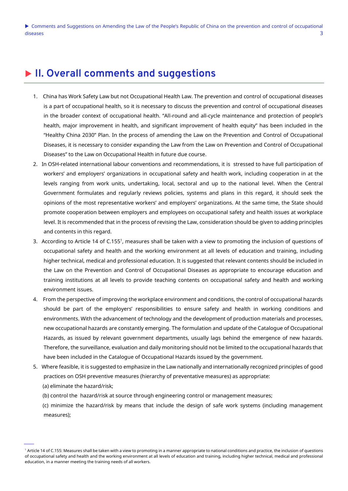# **II. Overall comments and suggestions**

- 1. China has Work Safety Law but not Occupational Health Law. The prevention and control of occupational diseases is a part of occupational health, so it is necessary to discuss the prevention and control of occupational diseases in the broader context of occupational health. "All-round and all-cycle maintenance and protection of people's health, major improvement in health, and significant improvement of health equity" has been included in the "Healthy China 2030" Plan. In the process of amending the Law on the Prevention and Control of Occupational Diseases, it is necessary to consider expanding the Law from the Law on Prevention and Control of Occupational Diseases" to the Law on Occupational Health in future due course.
- 2. In OSH-related international labour conventions and recommendations, it is stressed to have full participation of workers' and employers' organizations in occupational safety and health work, including cooperation in at the levels ranging from work units, undertaking, local, sectoral and up to the national level. When the Central Government formulates and regularly reviews policies, systems and plans in this regard, it should seek the opinions of the most representative workers' and employers' organizations. At the same time, the State should promote cooperation between employers and employees on occupational safety and health issues at workplace level. It is recommended that in the process of revising the Law, consideration should be given to adding principles and contents in this regard.
- 3. According to Article 14 of C.155<sup>1</sup>, measures shall be taken with a view to promoting the inclusion of questions of occupational safety and health and the working environment at all levels of education and training, including higher technical, medical and professional education. It is suggested that relevant contents should be included in the Law on the Prevention and Control of Occupational Diseases as appropriate to encourage education and training institutions at all levels to provide teaching contents on occupational safety and health and working environment issues.
- 4. From the perspective of improving the workplace environment and conditions, the control of occupational hazards should be part of the employers' responsibilities to ensure safety and health in working conditions and environments. With the advancement of technology and the development of production materials and processes, new occupational hazards are constantly emerging. The formulation and update of the Catalogue of Occupational Hazards, as issued by relevant government departments, usually lags behind the emergence of new hazards. Therefore, the surveillance, evaluation and daily monitoring should not be limited to the occupational hazards that have been included in the Catalogue of Occupational Hazards issued by the government.
- 5. Where feasible, it is suggested to emphasize in the Law nationally and internationally recognized principles of good practices on OSH preventive measures (hierarchy of preventative measures) as appropriate:
	- (a) eliminate the hazard/risk;
	- (b) control the hazard/risk at source through engineering control or management measures;

 (c) minimize the hazard/risk by means that include the design of safe work systems (including management measures);

<sup>1</sup> Article 14 of C.155: Measures shall be taken with a view to promoting in a manner appropriate to national conditions and practice, the inclusion of questions of occupational safety and health and the working environment at all levels of education and training, including higher technical, medical and professional education, in a manner meeting the training needs of all workers.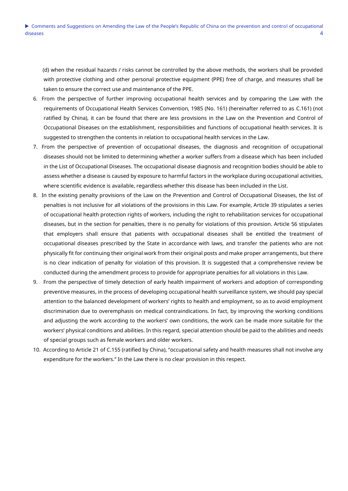(d) when the residual hazards / risks cannot be controlled by the above methods, the workers shall be provided with protective clothing and other personal protective equipment (PPE) free of charge, and measures shall be taken to ensure the correct use and maintenance of the PPE.

- 6. From the perspective of further improving occupational health services and by comparing the Law with the requirements of Occupational Health Services Convention, 1985 (No. 161) (hereinafter referred to as C.161) (not ratified by China), it can be found that there are less provisions in the Law on the Prevention and Control of Occupational Diseases on the establishment, responsibilities and functions of occupational health services. It is suggested to strengthen the contents in relation to occupational health services in the Law.
- 7. From the perspective of prevention of occupational diseases, the diagnosis and recognition of occupational diseases should not be limited to determining whether a worker suffers from a disease which has been included in the List of Occupational Diseases. The occupational disease diagnosis and recognition bodies should be able to assess whether a disease is caused by exposure to harmful factors in the workplace during occupational activities, where scientific evidence is available, regardless whether this disease has been included in the List.
- 8. In the existing penalty provisions of the Law on the Prevention and Control of Occupational Diseases, the list of penalties is not inclusive for all violations of the provisions in this Law. For example, Article 39 stipulates a series of occupational health protection rights of workers, including the right to rehabilitation services for occupational diseases, but in the section for penalties, there is no penalty for violations of this provision. Article 56 stipulates that employers shall ensure that patients with occupational diseases shall be entitled the treatment of occupational diseases prescribed by the State in accordance with laws, and transfer the patients who are not physically fit for continuing their original work from their original posts and make proper arrangements, but there is no clear indication of penalty for violation of this provision. It is suggested that a comprehensive review be conducted during the amendment process to provide for appropriate penalties for all violations in this Law.
- 9. From the perspective of timely detection of early health impairment of workers and adoption of corresponding preventive measures, in the process of developing occupational health surveillance system, we should pay special attention to the balanced development of workers' rights to health and employment, so as to avoid employment discrimination due to overemphasis on medical contraindications. In fact, by improving the working conditions and adjusting the work according to the workers' own conditions, the work can be made more suitable for the workers' physical conditions and abilities. In this regard, special attention should be paid to the abilities and needs of special groups such as female workers and older workers.
- 10. According to Article 21 of C.155 (ratified by China), "occupational safety and health measures shall not involve any expenditure for the workers." In the Law there is no clear provision in this respect.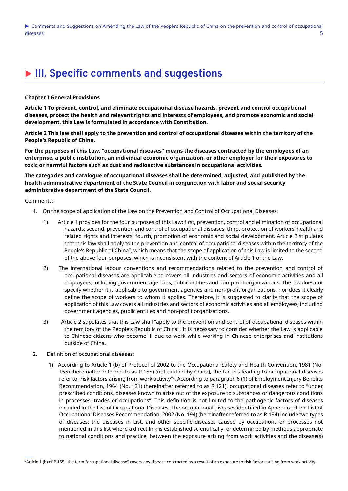Comments and Suggestions on Amending the Law of the People's Republic of China on the prevention and control of occupational diseases 5

# **III. Specific comments and suggestions**

#### **Chapter I General Provisions**

**Article 1 To prevent, control, and eliminate occupational disease hazards, prevent and control occupational diseases, protect the health and relevant rights and interests of employees, and promote economic and social development, this Law is formulated in accordance with Constitution.**

**Article 2 This law shall apply to the prevention and control of occupational diseases within the territory of the People's Republic of China.**

**For the purposes of this Law, "occupational diseases" means the diseases contracted by the employees of an enterprise, a public institution, an individual economic organization, or other employer for their exposures to toxic or harmful factors such as dust and radioactive substances in occupational activities.**

**The categories and catalogue of occupational diseases shall be determined, adjusted, and published by the health administrative department of the State Council in conjunction with labor and social security administrative department of the State Council.**

- 1. On the scope of application of the Law on the Prevention and Control of Occupational Diseases:
	- 1) Article 1 provides for the four purposes of this Law: first, prevention, control and elimination of occupational hazards; second, prevention and control of occupational diseases; third, protection of workers' health and related rights and interests; fourth, promotion of economic and social development. Article 2 stipulates that "this law shall apply to the prevention and control of occupational diseases within the territory of the People's Republic of China", which means that the scope of application of this Law is limited to the second of the above four purposes, which is inconsistent with the content of Article 1 of the Law.
	- 2) The international labour conventions and recommendations related to the prevention and control of occupational diseases are applicable to covers all industries and sectors of economic activities and all employees, including government agencies, public entities and non-profit organizations. The law does not specify whether it is applicable to government agencies and non-profit organizations, nor does it clearly define the scope of workers to whom it applies. Therefore, it is suggested to clarify that the scope of application of this Law covers all industries and sectors of economic activities and all employees, including government agencies, public entities and non-profit organizations.
	- 3) Article 2 stipulates that this Law shall "apply to the prevention and control of occupational diseases within the territory of the People's Republic of China". It is necessary to consider whether the Law is applicable to Chinese citizens who become ill due to work while working in Chinese enterprises and institutions outside of China.
- 2. Definition of occupational diseases:
	- 1) According to Article 1 (b) of Protocol of 2002 to the Occupational Safety and Health Convention, 1981 (No. 155) (hereinafter referred to as P.155) (not ratified by China), the factors leading to occupational diseases refer to "risk factors arising from work activity"<sup>2</sup> . According to paragraph 6 (1) of Employment Injury Benefits Recommendation, 1964 (No. 121) (hereinafter referred to as R.121), occupational diseases refer to "under prescribed conditions, diseases known to arise out of the exposure to substances or dangerous conditions in processes, trades or occupations". This definition is not limited to the pathogenic factors of diseases included in the List of Occupational Diseases. The occupational diseases identified in Appendix of the List of Occupational Diseases Recommendation, 2002 (No. 194) (hereinafter referred to as R.194) include two types of diseases: the diseases in List, and other specific diseases caused by occupations or processes not mentioned in this list where a direct link is established scientifically, or determined by methods appropriate to national conditions and practice, between the exposure arising from work activities and the disease(s)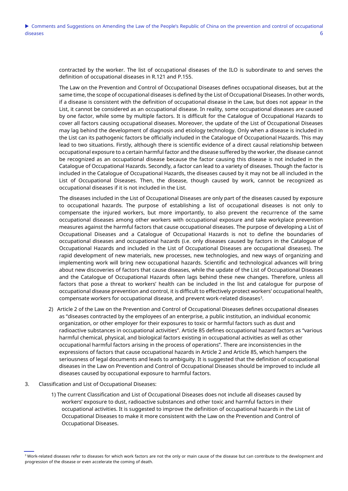contracted by the worker. The list of occupational diseases of the ILO is subordinate to and serves the definition of occupational diseases in R.121 and P.155.

The Law on the Prevention and Control of Occupational Diseases defines occupational diseases, but at the same time, the scope of occupational diseases is defined by the List of Occupational Diseases. In other words, if a disease is consistent with the definition of occupational disease in the Law, but does not appear in the List, it cannot be considered as an occupational disease. In reality, some occupational diseases are caused by one factor, while some by multiple factors. It is difficult for the Catalogue of Occupational Hazards to cover all factors causing occupational diseases. Moreover, the update of the List of Occupational Diseases may lag behind the development of diagnosis and etiology technology. Only when a disease is included in the List can its pathogenic factors be officially included in the Catalogue of Occupational Hazards. This may lead to two situations. Firstly, although there is scientific evidence of a direct causal relationship between occupational exposure to a certain harmful factor and the disease suffered by the worker, the disease cannot be recognized as an occupational disease because the factor causing this disease is not included in the Catalogue of Occupational Hazards. Secondly, a factor can lead to a variety of diseases. Though the factor is included in the Catalogue of Occupational Hazards, the diseases caused by it may not be all included in the List of Occupational Diseases. Then, the disease, though caused by work, cannot be recognized as occupational diseases if it is not included in the List.

The diseases included in the List of Occupational Diseases are only part of the diseases caused by exposure to occupational hazards. The purpose of establishing a list of occupational diseases is not only to compensate the injured workers, but more importantly, to also prevent the recurrence of the same occupational diseases among other workers with occupational exposure and take workplace prevention measures against the harmful factors that cause occupational diseases. The purpose of developing a List of Occupational Diseases and a Catalogue of Occupational Hazards is not to define the boundaries of occupational diseases and occupational hazards (i.e. only diseases caused by factors in the Catalogue of Occupational Hazards and included in the List of Occupational Diseases are occupational diseases). The rapid development of new materials, new processes, new technologies, and new ways of organizing and implementing work will bring new occupational hazards. Scientific and technological advances will bring about new discoveries of factors that cause diseases, while the update of the List of Occupational Diseases and the Catalogue of Occupational Hazards often lags behind these new changes. Therefore, unless all factors that pose a threat to workers' health can be included in the list and catalogue for purpose of occupational disease prevention and control, it is difficult to effectively protect workers' occupational health, compensate workers for occupational disease, and prevent work-related diseases<sup>3</sup>.

- 2) Article 2 of the Law on the Prevention and Control of Occupational Diseases defines occupational diseases as "diseases contracted by the employees of an enterprise, a public institution, an individual economic organization, or other employer for their exposures to toxic or harmful factors such as dust and radioactive substances in occupational activities". Article 85 defines occupational hazard factors as "various harmful chemical, physical, and biological factors existing in occupational activities as well as other occupational harmful factors arising in the process of operations". There are inconsistencies in the expressions of factors that cause occupational hazards in Article 2 and Article 85, which hampers the seriousness of legal documents and leads to ambiguity. It is suggested that the definition of occupational diseases in the Law on Prevention and Control of Occupational Diseases should be improved to include all diseases caused by occupational exposure to harmful factors.
- 3. Classification and List of Occupational Diseases:
	- 1) The current Classification and List of Occupational Diseases does not include all diseases caused by workers' exposure to dust, radioactive substances and other toxic and harmful factors in their occupational activities. It is suggested to improve the definition of occupational hazards in the List of Occupational Diseases to make it more consistent with the Law on the Prevention and Control of Occupational Diseases.

<sup>&</sup>lt;sup>3</sup> Work-related diseases refer to diseases for which work factors are not the only or main cause of the disease but can contribute to the development and progression of the disease or even accelerate the coming of death.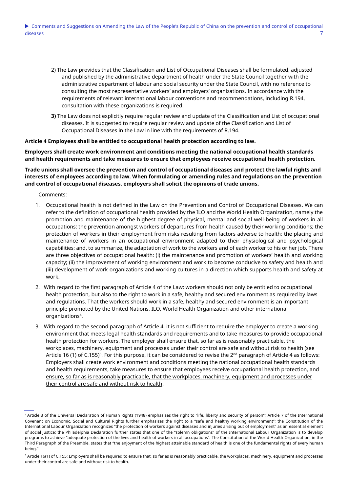- 2) The Law provides that the Classification and List of Occupational Diseases shall be formulated, adjusted and published by the administrative department of health under the State Council together with the administrative department of labour and social security under the State Council, with no reference to consulting the most representative workers' and employers' organizations. In accordance with the requirements of relevant international labour conventions and recommendations, including R.194, consultation with these organizations is required.
- **3)** The Law does not explicitly require regular review and update of the Classification and List of occupational diseases. It is suggested to require regular review and update of the Classification and List of Occupational Diseases in the Law in line with the requirements of R.194.

#### **Article 4 Employees shall be entitled to occupational health protection according to law.**

## **Employers shall create work environment and conditions meeting the national occupational health standards and health requirements and take measures to ensure that employees receive occupational health protection.**

# **Trade unions shall oversee the prevention and control of occupational diseases and protect the lawful rights and interests of employees according to law. When formulating or amending rules and regulations on the prevention and control of occupational diseases, employers shall solicit the opinions of trade unions.**

- 1. Occupational health is not defined in the Law on the Prevention and Control of Occupational Diseases. We can refer to the definition of occupational health provided by the ILO and the World Health Organization, namely the promotion and maintenance of the highest degree of physical, mental and social well-being of workers in all occupations; the prevention amongst workers of departures from health caused by their working conditions; the protection of workers in their employment from risks resulting from factors adverse to health; the placing and maintenance of workers in an occupational environment adapted to their physiological and psychological capabilities; and, to summarize, the adaptation of work to the workers and of each worker to his or her job. There are three objectives of occupational health: (i) the maintenance and promotion of workers' health and working capacity; (ii) the improvement of working environment and work to become conducive to safety and health and (iii) development of work organizations and working cultures in a direction which supports health and safety at work.
- 2. With regard to the first paragraph of Article 4 of the Law: workers should not only be entitled to occupational health protection, but also to the right to work in a safe, healthy and secured environment as required by laws and regulations. That the workers should work in a safe, healthy and secured environment is an important principle promoted by the United Nations, ILO, World Health Organization and other international organizations<sup>4</sup> .
- 3. With regard to the second paragraph of Article 4, it is not sufficient to require the employer to create a working environment that meets legal health standards and requirements and to take measures to provide occupational health protection for workers. The employer shall ensure that, so far as is reasonably practicable, the workplaces, machinery, equipment and processes under their control are safe and without risk to health (see Article 16 (1) of C.155)<sup>5</sup>. For this purpose, it can be considered to revise the 2<sup>nd</sup> paragraph of Article 4 as follows: Employers shall create work environment and conditions meeting the national occupational health standards and health requirements, take measures to ensure that employees receive occupational health protection, and ensure, so far as is reasonably practicable, that the workplaces, machinery, equipment and processes under their control are safe and without risk to health.

<sup>4</sup> Article 3 of the Universal Declaration of Human Rights (1948) emphasizes the right to "life, liberty and security of person"; Article 7 of the International Covenant on Economic, Social and Cultural Rights further emphasizes the right to a "safe and healthy working environment"; the Constitution of the International Labour Organization recognizes "the protection of workers against diseases and injuries arising out of employment" as an essential element of social justice; the Philadelphia Declaration further states that one of the "solemn obligations" of the International Labour Organization is to develop programs to achieve "adequate protection of the lives and health of workers in all occupations". The Constitution of the World Health Organization, in the Third Paragraph of the Preamble, states that "the enjoyment of the highest attainable standard of health is one of the fundamental rights of every human being."

<sup>&</sup>lt;sup>5</sup> Article 16(1) of C.155: Employers shall be required to ensure that, so far as is reasonably practicable, the workplaces, machinery, equipment and processes under their control are safe and without risk to health.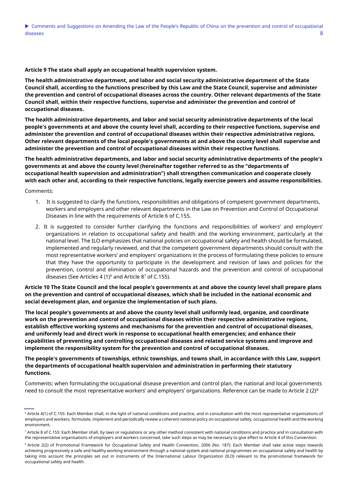**Article 9 The state shall apply an occupational health supervision system.**

**The health administrative department, and labor and social security administrative department of the State Council shall, according to the functions prescribed by this Law and the State Council, supervise and administer the prevention and control of occupational diseases across the country. Other relevant departments of the State Council shall, within their respective functions, supervise and administer the prevention and control of occupational diseases.**

**The health administrative departments, and labor and social security administrative departments of the local people's governments at and above the county level shall, according to their respective functions, supervise and administer the prevention and control of occupational diseases within their respective administrative regions. Other relevant departments of the local people's governments at and above the county level shall supervise and administer the prevention and control of occupational diseases within their respective functions.**

**The health administrative departments, and labor and social security administrative departments of the people's governments at and above the county level (hereinafter together referred to as the "departments of occupational health supervision and administration") shall strengthen communication and cooperate closely with each other and, according to their respective functions, legally exercise powers and assume responsibilities.** 

Comments:

- 1. It is suggested to clarify the functions, responsibilities and obligations of competent government departments, workers and employers and other relevant departments in the Law on Prevention and Control of Occupational Diseases in line with the requirements of Article 6 of C.155.
- 2. It is suggested to consider further clarifying the functions and responsibilities of workers' and employers' organizations in relation to occupational safety and health and the working environment, particularly at the national level. The ILO emphasizes that national policies on occupational safety and health should be formulated, implemented and regularly reviewed, and that the competent government departments should consult with the most representative workers' and employers' organizations in the process of formulating these policies to ensure that they have the opportunity to participate in the development and revision of laws and policies for the prevention, control and elimination of occupational hazards and the prevention and control of occupational diseases (See Articles 4 (1) $6$  and Article 8<sup>7</sup> of C.155).

**Article 10 The State Council and the local people's governments at and above the county level shall prepare plans on the prevention and control of occupational diseases, which shall be included in the national economic and social development plan, and organize the implementation of such plans.**

**The local people's governments at and above the county level shall uniformly lead, organize, and coordinate work on the prevention and control of occupational diseases within their respective administrative regions, establish effective working systems and mechanisms for the prevention and control of occupational diseases, and uniformly lead and direct work in response to occupational health emergencies; and enhance their capabilities of preventing and controlling occupational diseases and related service systems and improve and implement the responsibility system for the prevention and control of occupational diseases.**

**The people's governments of townships, ethnic townships, and towns shall, in accordance with this Law, support the departments of occupational health supervision and administration in performing their statutory functions.**

Comments: when formulating the occupational disease prevention and control plan, the national and local governments need to consult the most representative workers' and employers' organizations. Reference can be made to Article 2 ( $2$ )<sup>8</sup>

<sup>&</sup>lt;sup>6</sup> Article 4(1) of C.155: Each Member shall, in the light of national conditions and practice, and in consultation with the most representative organisations of employers and workers, formulate, implement and periodically review a coherent national policy on occupational safety, occupational health and the working environment.

<sup>&</sup>lt;sup>7</sup> Article 8 of C.155: Each Member shall, by laws or regulations or any other method consistent with national conditions and practice and in consultation with the representative organisations of employers and workers concerned, take such steps as may be necessary to give effect to Article 4 of this Convention.

<sup>&</sup>lt;sup>8</sup> Article 2(2) of Promotional Framework for Occupational Safety and Health Convention, 2006 (No. 187): Each Member shall take active steps towards achieving progressively a safe and healthy working environment through a national system and national programmes on occupational safety and health by taking into account the principles set out in instruments of the International Labour Organization (ILO) relevant to the promotional framework for occupational safety and health.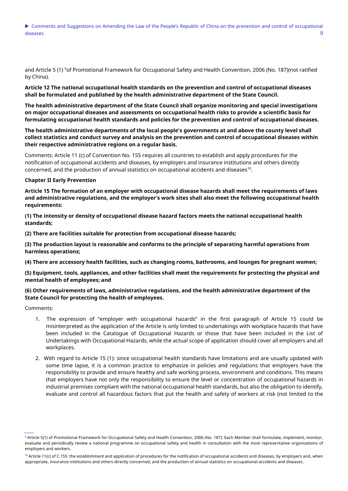and Article 5 (1) <sup>9</sup>of Promotional Framework for Occupational Safety and Health Convention, 2006 (No. 187)(not ratified by China).

**Article 12 The national occupational health standards on the prevention and control of occupational diseases shall be formulated and published by the health administrative department of the State Council.**

**The health administrative department of the State Council shall organize monitoring and special investigations on major occupational diseases and assessments on occupational health risks to provide a scientific basis for formulating occupational health standards and policies for the prevention and control of occupational diseases.**

**The health administrative departments of the local people's governments at and above the county level shall collect statistics and conduct survey and analysis on the prevention and control of occupational diseases within their respective administrative regions on a regular basis.**

Comments: Article 11 (c) of Convention No. 155 requires all countries to establish and apply procedures for the notification of occupational accidents and diseases, by employers and insurance institutions and others directly concerned, and the production of annual statistics on occupational accidents and diseases $^{\rm 10}$ .

#### **Chapter II Early Prevention**

**Article 15 The formation of an employer with occupational disease hazards shall meet the requirements of laws and administrative regulations, and the employer's work sites shall also meet the following occupational health requirements:**

**(1) The intensity or density of occupational disease hazard factors meets the national occupational health standards;**

**(2) There are facilities suitable for protection from occupational disease hazards;**

**(3) The production layout is reasonable and conforms to the principle of separating harmful operations from harmless operations;**

**(4) There are accessory health facilities, such as changing rooms, bathrooms, and lounges for pregnant women;**

**(5) Equipment, tools, appliances, and other facilities shall meet the requirements for protecting the physical and mental health of employees; and**

# **(6) Other requirements of laws, administrative regulations, and the health administrative department of the State Council for protecting the health of employees.**

- 1. The expression of "employer with occupational hazards" in the first paragraph of Article 15 could be misinterpreted as the application of the Article is only limited to undertakings with workplace hazards that have been included in the Catalogue of Occupational Hazards or those that have been included in the List of Undertakings with Occupational Hazards, while the actual scope of application should cover all employers and all workplaces.
- 2. With regard to Article 15 (1): since occupational health standards have limitations and are usually updated with some time lapse, it is a common practice to emphasize in policies and regulations that employers have the responsibility to provide and ensure healthy and safe working process, environment and conditions. This means that employers have not only the responsibility to ensure the level or concentration of occupational hazards in industrial premises compliant with the national occupational health standards, but also the obligation to identify, evaluate and control all hazardous factors that put the health and safety of workers at risk (not limited to the

<sup>9</sup> Article 5(1) of Promotional Framework for Occupational Safety and Health Convention, 2006 (No. 187): Each Member shall formulate, implement, monitor, evaluate and periodically review a national programme on occupational safety and health in consultation with the most representative organizations of employers and workers.

<sup>&</sup>lt;sup>10</sup> Article 11(c) of C.155: the establishment and application of procedures for the notification of occupational accidents and diseases, by employers and, when appropriate, insurance institutions and others directly concerned, and the production of annual statistics on occupational accidents and diseases.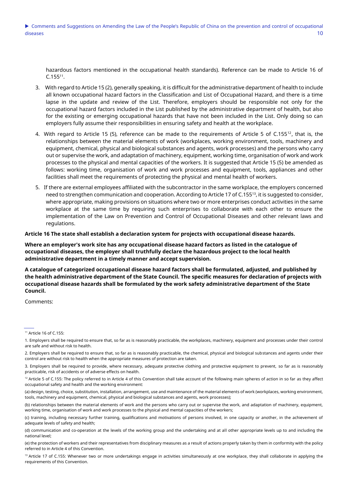hazardous factors mentioned in the occupational health standards). Reference can be made to Article 16 of  $C.155<sup>11</sup>$ .

- 3. With regard to Article 15 (2), generally speaking, it is difficult for the administrative department of health to include all known occupational hazard factors in the Classification and List of Occupational Hazard, and there is a time lapse in the update and review of the List. Therefore, employers should be responsible not only for the occupational hazard factors included in the List published by the administrative department of health, but also for the existing or emerging occupational hazards that have not been included in the List. Only doing so can employers fully assume their responsibilities in ensuring safety and health at the workplace.
- 4. With regard to Article 15 (5), reference can be made to the requirements of Article 5 of C.155<sup>12</sup>, that is, the relationships between the material elements of work (workplaces, working environment, tools, machinery and equipment, chemical, physical and biological substances and agents, work processes) and the persons who carry out or supervise the work, and adaptation of machinery, equipment, working time, organisation of work and work processes to the physical and mental capacities of the workers. It is suggested that Article 15 (5) be amended as follows: working time, organisation of work and work processes and equipment, tools, appliances and other facilities shall meet the requirements of protecting the physical and mental health of workers.
- 5. If there are external employees affiliated with the subcontractor in the same workplace, the employers concerned need to strengthen communication and cooperation. According to Article 17 of C.155<sup>13</sup>, it is suggested to consider, where appropriate, making provisions on situations where two or more enterprises conduct activities in the same workplace at the same time by requiring such enterprises to collaborate with each other to ensure the implementation of the Law on Prevention and Control of Occupational Diseases and other relevant laws and regulations.

**Article 16 The state shall establish a declaration system for projects with occupational disease hazards.**

**Where an employer's work site has any occupational disease hazard factors as listed in the catalogue of occupational diseases, the employer shall truthfully declare the hazardous project to the local health administrative department in a timely manner and accept supervision.**

**A catalogue of categorized occupational disease hazard factors shall be formulated, adjusted, and published by the health administrative department of the State Council. The specific measures for declaration of projects with occupational disease hazards shall be formulated by the work safety administrative department of the State Council.** 

<sup>11</sup> Article 16 of C.155:

<sup>1.</sup> Employers shall be required to ensure that, so far as is reasonably practicable, the workplaces, machinery, equipment and processes under their control are safe and without risk to health.

<sup>2.</sup> Employers shall be required to ensure that, so far as is reasonably practicable, the chemical, physical and biological substances and agents under their control are without risk to health when the appropriate measures of protection are taken.

<sup>3.</sup> Employers shall be required to provide, where necessary, adequate protective clothing and protective equipment to prevent, so far as is reasonably practicable, risk of accidents or of adverse effects on health.

<sup>12</sup> Article 5 of C.155: The policy referred to in Article 4 of this Convention shall take account of the following main spheres of action in so far as they affect occupational safety and health and the working environment:

<sup>(</sup>a) design, testing, choice, substitution, installation, arrangement, use and maintenance of the material elements of work (workplaces, working environment, tools, machinery and equipment, chemical, physical and biological substances and agents, work processes);

<sup>(</sup>b) relationships between the material elements of work and the persons who carry out or supervise the work, and adaptation of machinery, equipment, working time, organisation of work and work processes to the physical and mental capacities of the workers;

<sup>(</sup>c) training, including necessary further training, qualifications and motivations of persons involved, in one capacity or another, in the achievement of adequate levels of safety and health;

<sup>(</sup>d) communication and co-operation at the levels of the working group and the undertaking and at all other appropriate levels up to and including the national level;

<sup>(</sup>e) the protection of workers and their representatives from disciplinary measures as a result of actions properly taken by them in conformity with the policy referred to in Article 4 of this Convention.

<sup>&</sup>lt;sup>13</sup> Article 17 of C.155: Whenever two or more undertakings engage in activities simultaneously at one workplace, they shall collaborate in applying the requirements of this Convention.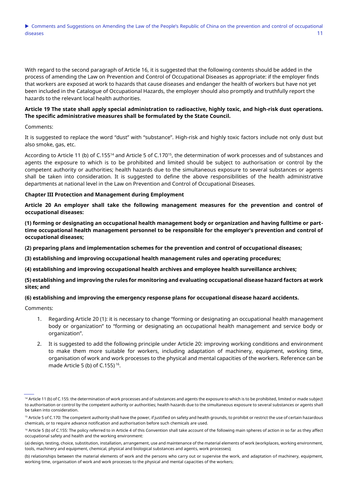With regard to the second paragraph of Article 16, it is suggested that the following contents should be added in the process of amending the Law on Prevention and Control of Occupational Diseases as appropriate: if the employer finds that workers are exposed at work to hazards that cause diseases and endanger the health of workers but have not yet been included in the Catalogue of Occupational Hazards, the employer should also promptly and truthfully report the hazards to the relevant local health authorities.

# **Article 19 The state shall apply special administration to radioactive, highly toxic, and high-risk dust operations. The specific administrative measures shall be formulated by the State Council.**

#### Comments:

It is suggested to replace the word "dust" with "substance". High-risk and highly toxic factors include not only dust but also smoke, gas, etc.

According to Article 11 (b) of C.155<sup>14</sup> and Article 5 of C.170<sup>15</sup>, the determination of work processes and of substances and agents the exposure to which is to be prohibited and limited should be subject to authorisation or control by the competent authority or authorities; health hazards due to the simultaneous exposure to several substances or agents shall be taken into consideration. It is suggested to define the above responsibilities of the health administrative departments at national level in the Law on Prevention and Control of Occupational Diseases.

#### **Chapter III Protection and Management during Employment**

**Article 20 An employer shall take the following management measures for the prevention and control of occupational diseases:**

**(1) forming or designating an occupational health management body or organization and having fulltime or parttime occupational health management personnel to be responsible for the employer's prevention and control of occupational diseases;**

**(2) preparing plans and implementation schemes for the prevention and control of occupational diseases;**

**(3) establishing and improving occupational health management rules and operating procedures;**

**(4) establishing and improving occupational health archives and employee health surveillance archives;**

# **(5) establishing and improving the rules for monitoring and evaluating occupational disease hazard factors at work sites; and**

## **(6) establishing and improving the emergency response plans for occupational disease hazard accidents.**

- 1. Regarding Article 20 (1): it is necessary to change "forming or designating an occupational health management body or organization" to "forming or designating an occupational health management and service body or organization".
- 2. It is suggested to add the following principle under Article 20: improving working conditions and environment to make them more suitable for workers, including adaptation of machinery, equipment, working time, organisation of work and work processes to the physical and mental capacities of the workers. Reference can be made Article 5 (b) of C.155) 16 .

<sup>&</sup>lt;sup>14</sup> Article 11 (b) of C.155: the determination of work processes and of substances and agents the exposure to which is to be prohibited, limited or made subject to authorisation or control by the competent authority or authorities; health hazards due to the simultaneous exposure to several substances or agents shall be taken into consideration.

<sup>&</sup>lt;sup>15</sup> Article 5 of C.170: The competent authority shall have the power, if justified on safety and health grounds, to prohibit or restrict the use of certain hazardous chemicals, or to require advance notification and authorisation before such chemicals are used.

<sup>&</sup>lt;sup>16</sup> Article 5 (b) of C.155: The policy referred to in Article 4 of this Convention shall take account of the following main spheres of action in so far as they affect occupational safety and health and the working environment:

<sup>(</sup>a) design, testing, choice, substitution, installation, arrangement, use and maintenance of the material elements of work (workplaces, working environment, tools, machinery and equipment, chemical, physical and biological substances and agents, work processes);

<sup>(</sup>b) relationships between the material elements of work and the persons who carry out or supervise the work, and adaptation of machinery, equipment, working time, organisation of work and work processes to the physical and mental capacities of the workers;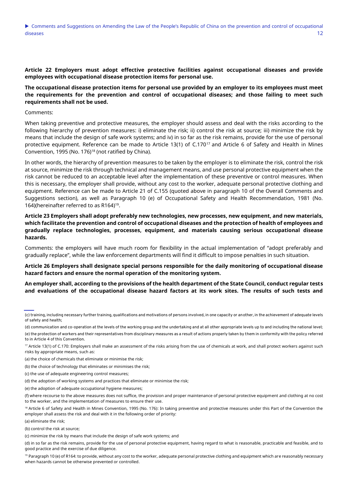**Article 22 Employers must adopt effective protective facilities against occupational diseases and provide employees with occupational disease protection items for personal use.**

**The occupational disease protection items for personal use provided by an employer to its employees must meet the requirements for the prevention and control of occupational diseases; and those failing to meet such requirements shall not be used.**

Comments:

When taking preventive and protective measures, the employer should assess and deal with the risks according to the following hierarchy of prevention measures: i) eliminate the risk; ii) control the risk at source; iii) minimize the risk by means that include the design of safe work systems; and iv) in so far as the risk remains, provide for the use of personal protective equipment. Reference can be made to Article 13(1) of C.170<sup>17</sup> and Article 6 of Safety and Health in Mines Convention, 1995 (No. 176)<sup>18</sup> (not ratified by China).

In other words, the hierarchy of prevention measures to be taken by the employer is to eliminate the risk, control the risk at source, minimize the risk through technical and management means, and use personal protective equipment when the risk cannot be reduced to an acceptable level after the implementation of these preventive or control measures. When this is necessary, the employer shall provide, without any cost to the worker, adequate personal protective clothing and equipment. Reference can be made to Article 21 of C.155 (quoted above in paragraph 10 of the Overall Comments and Suggestions section), as well as Paragraph 10 (e) of Occupational Safety and Health Recommendation, 1981 (No. 164) (hereinafter referred to as  $R164$ )<sup>19</sup>.

**Article 23 Employers shall adopt preferably new technologies, new processes, new equipment, and new materials, which facilitate the prevention and control of occupational diseases and the protection of health of employees and gradually replace technologies, processes, equipment, and materials causing serious occupational disease hazards.**

Comments: the employers will have much room for flexibility in the actual implementation of "adopt preferably and gradually replace", while the law enforcement departments will find it difficult to impose penalties in such situation.

**Article 26 Employers shall designate special persons responsible for the daily monitoring of occupational disease hazard factors and ensure the normal operation of the monitoring system.**

**An employer shall, according to the provisions of the health department of the State Council, conduct regular tests and evaluations of the occupational disease hazard factors at its work sites. The results of such tests and** 

(a) eliminate the risk;

(b) control the risk at source;

<sup>(</sup>c) training, including necessary further training, qualifications and motivations of persons involved, in one capacity or another, in the achievement of adequate levels of safety and health;

<sup>(</sup>d) communication and co-operation at the levels of the working group and the undertaking and at all other appropriate levels up to and including the national level;

<sup>(</sup>e) the protection of workers and their representatives from disciplinary measures as a result of actions properly taken by them in conformity with the policy referred to in Article 4 of this Convention.

<sup>&</sup>lt;sup>17</sup> Article 13(1) of C.170: Employers shall make an assessment of the risks arising from the use of chemicals at work, and shall protect workers against such risks by appropriate means, such as:

<sup>(</sup>a) the choice of chemicals that eliminate or minimise the risk;

<sup>(</sup>b) the choice of technology that eliminates or minimises the risk;

<sup>(</sup>c) the use of adequate engineering control measures;

<sup>(</sup>d) the adoption of working systems and practices that eliminate or minimise the risk;

<sup>(</sup>e) the adoption of adequate occupational hygiene measures;

<sup>(</sup>f) where recourse to the above measures does not suffice, the provision and proper maintenance of personal protective equipment and clothing at no cost to the worker, and the implementation of measures to ensure their use.

<sup>&</sup>lt;sup>18</sup> Article 6 of Safety and Health in Mines Convention, 1995 (No. 176): In taking preventive and protective measures under this Part of the Convention the employer shall assess the risk and deal with it in the following order of priority:

<sup>(</sup>c) minimize the risk by means that include the design of safe work systems; and

<sup>(</sup>d) in so far as the risk remains, provide for the use of personal protective equipment, having regard to what is reasonable, practicable and feasible, and to good practice and the exercise of due diligence.

<sup>&</sup>lt;sup>19</sup> Paragraph 10 (e) of R164: to provide, without any cost to the worker, adequate personal protective clothing and equipment which are reasonably necessary when hazards cannot be otherwise prevented or controlled.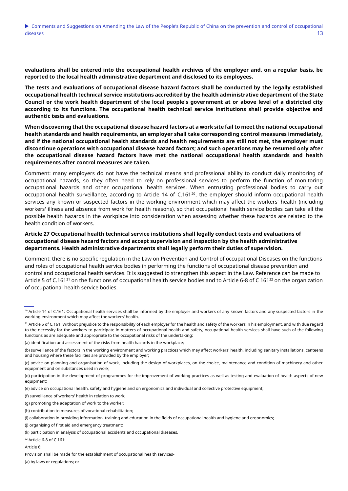**evaluations shall be entered into the occupational health archives of the employer and, on a regular basis, be reported to the local health administrative department and disclosed to its employees.**

**The tests and evaluations of occupational disease hazard factors shall be conducted by the legally established occupational health technical service institutions accredited by the health administrative department of the State Council or the work health department of the local people's government at or above level of a districted city according to its functions. The occupational health technical service institutions shall provide objective and authentic tests and evaluations.**

**When discovering that the occupational disease hazard factors at a work site fail to meet the national occupational health standards and health requirements, an employer shall take corresponding control measures immediately, and if the national occupational health standards and health requirements are still not met, the employer must discontinue operations with occupational disease hazard factors; and such operations may be resumed only after the occupational disease hazard factors have met the national occupational health standards and health requirements after control measures are taken.**

Comment: many employers do not have the technical means and professional ability to conduct daily monitoring of occupational hazards, so they often need to rely on professional services to perform the function of monitoring occupational hazards and other occupational health services. When entrusting professional bodies to carry out occupational health surveillance, according to Article 14 of C.161<sup>20</sup>, the employer should inform occupational health services any known or suspected factors in the working environment which may affect the workers' health (including workers' illness and absence from work for health reasons), so that occupational health service bodies can take all the possible health hazards in the workplace into consideration when assessing whether these hazards are related to the health condition of workers.

# **Article 27 Occupational health technical service institutions shall legally conduct tests and evaluations of occupational disease hazard factors and accept supervision and inspection by the health administrative departments. Health administrative departments shall legally perform their duties of supervision.**

Comment: there is no specific regulation in the Law on Prevention and Control of occupational Diseases on the functions and roles of occupational health service bodies in performing the functions of occupational disease prevention and control and occupational health services. It is suggested to strengthen this aspect in the Law. Reference can be made to Article 5 of C.161<sup>21</sup> on the functions of occupational health service bodies and to Article 6-8 of C 161<sup>22</sup> on the organization of occupational health service bodies.

Article 6:

(a) by laws or regulations; or

<sup>20</sup> Article 14 of C.161: Occupational health services shall be informed by the employer and workers of any known factors and any suspected factors in the working environment which may affect the workers' health.

<sup>&</sup>lt;sup>21</sup> Article 5 of C.161: Without prejudice to the responsibility of each employer for the health and safety of the workers in his employment, and with due regard to the necessity for the workers to participate in matters of occupational health and safety, occupational health services shall have such of the following functions as are adequate and appropriate to the occupational risks of the undertaking:

<sup>(</sup>a) identification and assessment of the risks from health hazards in the workplace;

<sup>(</sup>b) surveillance of the factors in the working environment and working practices which may affect workers' health, including sanitary installations, canteens and housing where these facilities are provided by the employer;

<sup>(</sup>c) advice on planning and organisation of work, including the design of workplaces, on the choice, maintenance and condition of machinery and other equipment and on substances used in work;

<sup>(</sup>d) participation in the development of programmes for the improvement of working practices as well as testing and evaluation of health aspects of new equipment;

<sup>(</sup>e) advice on occupational health, safety and hygiene and on ergonomics and individual and collective protective equipment;

<sup>(</sup>f) surveillance of workers' health in relation to work;

<sup>(</sup>g) promoting the adaptation of work to the worker;

<sup>(</sup>h) contribution to measures of vocational rehabilitation;

<sup>(</sup>i) collaboration in providing information, training and education in the fields of occupational health and hygiene and ergonomics;

<sup>(</sup>j) organising of first aid and emergency treatment;

<sup>(</sup>k) participation in analysis of occupational accidents and occupational diseases.

<sup>22</sup> Article 6-8 of C 161:

Provision shall be made for the establishment of occupational health services-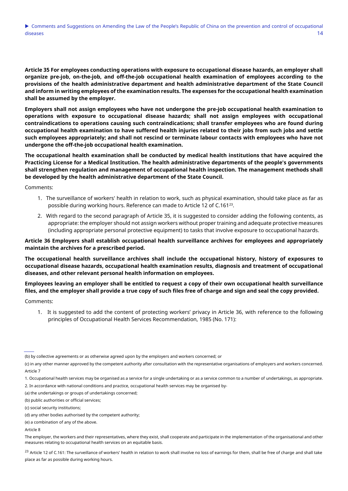**Article 35 For employees conducting operations with exposure to occupational disease hazards, an employer shall organize pre-job, on-the-job, and off-the-job occupational health examination of employees according to the provisions of the health administrative department and health administrative department of the State Council and inform in writing employees of the examination results. The expenses for the occupational health examination shall be assumed by the employer.**

**Employers shall not assign employees who have not undergone the pre-job occupational health examination to operations with exposure to occupational disease hazards; shall not assign employees with occupational contraindications to operations causing such contraindications; shall transfer employees who are found during occupational health examination to have suffered health injuries related to their jobs from such jobs and settle such employees appropriately; and shall not rescind or terminate labour contacts with employees who have not undergone the off-the-job occupational health examination.**

**The occupational health examination shall be conducted by medical health institutions that have acquired the Practicing License for a Medical Institution. The health administrative departments of the people's governments shall strengthen regulation and management of occupational health inspection. The management methods shall be developed by the health administrative department of the State Council.**

Comments:

- 1. The surveillance of workers' health in relation to work, such as physical examination, should take place as far as possible during working hours. Reference can made to Article 12 of C.161 $^{23}$ .
- 2. With regard to the second paragraph of Article 35, it is suggested to consider adding the following contents, as appropriate: the employer should not assign workers without proper training and adequate protective measures (including appropriate personal protective equipment) to tasks that involve exposure to occupational hazards.

**Article 36 Employers shall establish occupational health surveillance archives for employees and appropriately maintain the archives for a prescribed period.**

**The occupational health surveillance archives shall include the occupational history, history of exposures to occupational disease hazards, occupational health examination results, diagnosis and treatment of occupational diseases, and other relevant personal health information on employees.**

**Employees leaving an employer shall be entitled to request a copy of their own occupational health surveillance files, and the employer shall provide a true copy of such files free of charge and sign and seal the copy provided.**

Comments:

1. It is suggested to add the content of protecting workers' privacy in Article 36, with reference to the following principles of Occupational Health Services Recommendation, 1985 (No. 171):

(a) the undertakings or groups of undertakings concerned;

 $^{23}$  Article 12 of C.161: The surveillance of workers' health in relation to work shall involve no loss of earnings for them, shall be free of charge and shall take place as far as possible during working hours.

<sup>(</sup>b) by collective agreements or as otherwise agreed upon by the employers and workers concerned; or

<sup>(</sup>c) in any other manner approved by the competent authority after consultation with the representative organisations of employers and workers concerned. Article 7

<sup>1.</sup> Occupational health services may be organised as a service for a single undertaking or as a service common to a number of undertakings, as appropriate.

<sup>2.</sup> In accordance with national conditions and practice, occupational health services may be organised by-

<sup>(</sup>b) public authorities or official services;

<sup>(</sup>c) social security institutions;

<sup>(</sup>d) any other bodies authorised by the competent authority;

<sup>(</sup>e) a combination of any of the above.

Article 8

The employer, the workers and their representatives, where they exist, shall cooperate and participate in the implementation of the organisational and other measures relating to occupational health services on an equitable basis.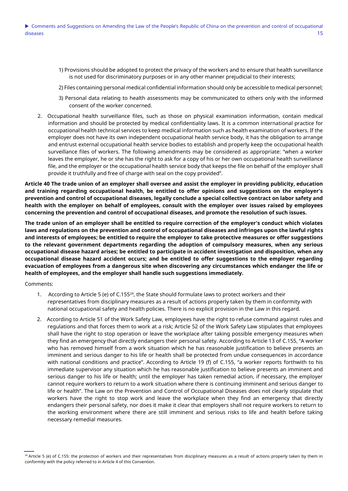- 1) Provisions should be adopted to protect the privacy of the workers and to ensure that health surveillance is not used for discriminatory purposes or in any other manner prejudicial to their interests;
- 2) Files containing personal medical confidential information should only be accessible to medical personnel;
- 3) Personal data relating to health assessments may be communicated to others only with the informed consent of the worker concerned.
- 2. Occupational health surveillance files, such as those on physical examination information, contain medical information and should be protected by medical confidentiality laws. It is a common international practice for occupational health technical services to keep medical information such as health examination of workers. If the employer does not have its own independent occupational health service body, it has the obligation to arrange and entrust external occupational health service bodies to establish and properly keep the occupational health surveillance files of workers. The following amendments may be considered as appropriate: "when a worker leaves the employer, he or she has the right to ask for a copy of his or her own occupational health surveillance file, and the employer or the occupational health service body that keeps the file on behalf of the employer shall provide it truthfully and free of charge with seal on the copy provided".

**Article 40 The trade union of an employer shall oversee and assist the employer in providing publicity, education and training regarding occupational health, be entitled to offer opinions and suggestions on the employer's prevention and control of occupational diseases, legally conclude a special collective contract on labor safety and health with the employer on behalf of employees, consult with the employer over issues raised by employees concerning the prevention and control of occupational diseases, and promote the resolution of such issues.**

**The trade union of an employer shall be entitled to require correction of the employer's conduct which violates laws and regulations on the prevention and control of occupational diseases and infringes upon the lawful rights and interests of employees; be entitled to require the employer to take protective measures or offer suggestions to the relevant government departments regarding the adoption of compulsory measures, when any serious occupational disease hazard arises; be entitled to participate in accident investigation and disposition, when any occupational disease hazard accident occurs; and be entitled to offer suggestions to the employer regarding evacuation of employees from a dangerous site when discovering any circumstances which endanger the life or health of employees, and the employer shall handle such suggestions immediately.**

- 1. According to Article 5 (e) of C.155 $^{24}$ , the State should formulate laws to protect workers and their representatives from disciplinary measures as a result of actions properly taken by them in conformity with national occupational safety and health policies. There is no explicit provision in the Law in this regard.
- 2. According to Article 51 of the Work Safety Law, employees have the right to refuse command against rules and regulations and that forces them to work at a risk; Article 52 of the Work Safety Law stipulates that employees shall have the right to stop operation or leave the workplace after taking possible emergency measures when they find an emergency that directly endangers their personal safety. According to Article 13 of C.155, "A worker who has removed himself from a work situation which he has reasonable justification to believe presents an imminent and serious danger to his life or health shall be protected from undue consequences in accordance with national conditions and practice". According to Article 19 (f) of C.155, "a worker reports forthwith to his immediate supervisor any situation which he has reasonable justification to believe presents an imminent and serious danger to his life or health; until the employer has taken remedial action, if necessary, the employer cannot require workers to return to a work situation where there is continuing imminent and serious danger to life or health". The Law on the Prevention and Control of Occupational Diseases does not clearly stipulate that workers have the right to stop work and leave the workplace when they find an emergency that directly endangers their personal safety, nor does it make it clear that employers shall not require workers to return to the working environment where there are still imminent and serious risks to life and health before taking necessary remedial measures.

<sup>&</sup>lt;sup>24</sup> Article 5 (e) of C.155: the protection of workers and their representatives from disciplinary measures as a result of actions properly taken by them in conformity with the policy referred to in Article 4 of this Convention.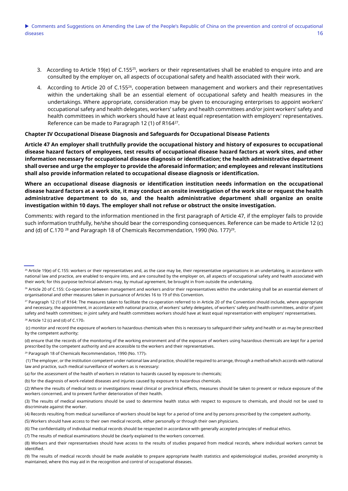- 3. According to Article 19(e) of C.155<sup>25</sup>, workers or their representatives shall be enabled to enquire into and are consulted by the employer on, all aspects of occupational safety and health associated with their work.
- 4. According to Article 20 of C.15526, cooperation between management and workers and their representatives within the undertaking shall be an essential element of occupational safety and health measures in the undertakings. Where appropriate, consideration may be given to encouraging enterprises to appoint workers' occupational safety and health delegates, workers' safety and health committees and/or joint workers' safety and health committees in which workers should have at least equal representation with employers' representatives. Reference can be made to Paragraph 12 (1) of R164<sup>27</sup>.

#### **Chapter IV Occupational Disease Diagnosis and Safeguards for Occupational Disease Patients**

**Article 47 An employer shall truthfully provide the occupational history and history of exposures to occupational disease hazard factors of employees, test results of occupational disease hazard factors at work sites, and other information necessary for occupational disease diagnosis or identification; the health administrative department shall oversee and urge the employer to provide the aforesaid information; and employees and relevant institutions shall also provide information related to occupational disease diagnosis or identification.**

**Where an occupational disease diagnosis or identification institution needs information on the occupational disease hazard factors at a work site, it may conduct an onsite investigation of the work site or request the health administrative department to do so, and the health administrative department shall organize an onsite investigation within 10 days. The employer shall not refuse or obstruct the onsite investigation.**

Comments: with regard to the information mentioned in the first paragraph of Article 47, if the employer fails to provide such information truthfully, he/she should bear the corresponding consequences. Reference can be made to Article 12 (c) and (d) of C.170  $^{28}$  and Paragraph 18 of Chemicals Recommendation, 1990 (No. 177) $^{29}$ .

(c) monitor and record the exposure of workers to hazardous chemicals when this is necessary to safeguard their safety and health or as may be prescribed by the competent authority;

(d) ensure that the records of the monitoring of the working environment and of the exposure of workers using hazardous chemicals are kept for a period prescribed by the competent authority and are accessible to the workers and their representatives.

<sup>29</sup> Paragraph 18 of Chemicals Recommendation, 1990 (No. 177):

(1) The employer, or the institution competent under national law and practice, should be required to arrange, through a method which accords with national law and practice, such medical surveillance of workers as is necessary:

(b) for the diagnosis of work-related diseases and injuries caused by exposure to hazardous chemicals.

(2) Where the results of medical tests or investigations reveal clinical or preclinical effects, measures should be taken to prevent or reduce exposure of the workers concerned, and to prevent further deterioration of their health.

(3) The results of medical examinations should be used to determine health status with respect to exposure to chemicals, and should not be used to discriminate against the worker.

(5) Workers should have access to their own medical records, either personally or through their own physicians.

(7) The results of medical examinations should be clearly explained to the workers concerned.

<sup>&</sup>lt;sup>25</sup> Article 19(e) of C.155: workers or their representatives and, as the case may be, their representative organisations in an undertaking, in accordance with national law and practice, are enabled to enquire into, and are consulted by the employer on, all aspects of occupational safety and health associated with their work; for this purpose technical advisers may, by mutual agreement, be brought in from outside the undertaking.

<sup>&</sup>lt;sup>26</sup> Article 20 of C.155: Co-operation between management and workers and/or their representatives within the undertaking shall be an essential element of organisational and other measures taken in pursuance of Articles 16 to 19 of this Convention.

<sup>&</sup>lt;sup>27</sup> Paragraph 12 (1) of R164: The measures taken to facilitate the co-operation referred to in Article 20 of the Convention should include, where appropriate and necessary, the appointment, in accordance with national practice, of workers' safety delegates, of workers' safety and health committees, and/or of joint safety and health committees; in joint safety and health committees workers should have at least equal representation with employers' representatives.  $28$  Article 12 (c) and (d) of C.170:

<sup>(</sup>a) for the assessment of the health of workers in relation to hazards caused by exposure to chemicals;

<sup>(4)</sup> Records resulting from medical surveillance of workers should be kept for a period of time and by persons prescribed by the competent authority.

<sup>(6)</sup> The confidentiality of individual medical records should be respected in accordance with generally accepted principles of medical ethics.

<sup>(8)</sup> Workers and their representatives should have access to the results of studies prepared from medical records, where individual workers cannot be identified.

<sup>(9)</sup> The results of medical records should be made available to prepare appropriate health statistics and epidemiological studies, provided anonymity is maintained, where this may aid in the recognition and control of occupational diseases.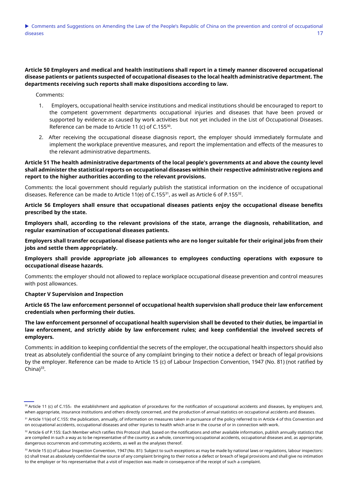# **Article 50 Employers and medical and health institutions shall report in a timely manner discovered occupational disease patients or patients suspected of occupational diseases to the local health administrative department. The departments receiving such reports shall make dispositions according to law.**

Comments:

- 1. Employers, occupational health service institutions and medical institutions should be encouraged to report to the competent government departments occupational injuries and diseases that have been proved or supported by evidence as caused by work activities but not yet included in the List of Occupational Diseases. Reference can be made to Article 11 (c) of C.155<sup>30</sup>.
- 2. After receiving the occupational disease diagnosis report, the employer should immediately formulate and implement the workplace preventive measures, and report the implementation and effects of the measures to the relevant administrative departments.

**Article 51 The health administrative departments of the local people's governments at and above the county level shall administer the statistical reports on occupational diseases within their respective administrative regions and report to the higher authorities according to the relevant provisions.**

Comments: the local government should regularly publish the statistical information on the incidence of occupational diseases. Reference can be made to Article 11(e) of C.155 $^{\rm 31}$ , as well as Article 6 of P.155 $^{\rm 32}$ .

**Article 56 Employers shall ensure that occupational diseases patients enjoy the occupational disease benefits prescribed by the state.**

**Employers shall, according to the relevant provisions of the state, arrange the diagnosis, rehabilitation, and regular examination of occupational diseases patients.**

**Employers shall transfer occupational disease patients who are no longer suitable for their original jobs from their jobs and settle them appropriately.**

**Employers shall provide appropriate job allowances to employees conducting operations with exposure to occupational disease hazards.**

Comments: the employer should not allowed to replace workplace occupational disease prevention and control measures with post allowances.

**Chapter V Supervision and Inspection**

**Article 65 The law enforcement personnel of occupational health supervision shall produce their law enforcement credentials when performing their duties.**

**The law enforcement personnel of occupational health supervision shall be devoted to their duties, be impartial in law enforcement, and strictly abide by law enforcement rules; and keep confidential the involved secrets of employers.**

Comments: in addition to keeping confidential the secrets of the employer, the occupational health inspectors should also treat as absolutely confidential the source of any complaint bringing to their notice a defect or breach of legal provisions by the employer. Reference can be made to Article 15 (c) of Labour Inspection Convention, 1947 (No. 81) (not ratified by China $)^{33}$ .

<sup>30</sup> Article 11 (c) of C.155: the establishment and application of procedures for the notification of occupational accidents and diseases, by employers and, when appropriate, insurance institutions and others directly concerned, and the production of annual statistics on occupational accidents and diseases.

<sup>31</sup> Article 11(e) of C.155: the publication, annually, of information on measures taken in pursuance of the policy referred to in Article 4 of this Convention and on occupational accidents, occupational diseases and other injuries to health which arise in the course of or in connection with work.

 $32$  Article 6 of P.155: Each Member which ratifies this Protocol shall, based on the notifications and other available information, publish annually statistics that are compiled in such a way as to be representative of the country as a whole, concerning occupational accidents, occupational diseases and, as appropriate, dangerous occurrences and commuting accidents, as well as the analyses thereof.

 $33$  Article 15 (c) of Labour Inspection Convention, 1947 (No. 81): Subject to such exceptions as may be made by national laws or regulations, labour inspectors: (c) shall treat as absolutely confidential the source of any complaint bringing to their notice a defect or breach of legal provisions and shall give no intimation to the employer or his representative that a visit of inspection was made in consequence of the receipt of such a complaint.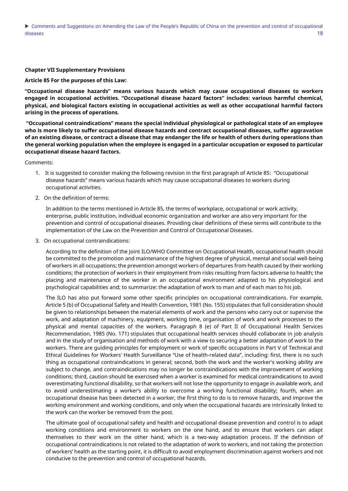#### **Chapter VII Supplementary Provisions**

**Article 85 For the purposes of this Law:**

**"Occupational disease hazards" means various hazards which may cause occupational diseases to workers engaged in occupational activities. "Occupational disease hazard factors" includes: various harmful chemical, physical, and biological factors existing in occupational activities as well as other occupational harmful factors arising in the process of operations.**

**"Occupational contraindications" means the special individual physiological or pathological state of an employee who is more likely to suffer occupational disease hazards and contract occupational diseases, suffer aggravation of an existing disease, or contract a disease that may endanger the life or health of others during operations than the general working population when the employee is engaged in a particular occupation or exposed to particular occupational disease hazard factors.**

Comments:

- 1. It is suggested to consider making the following revision in the first paragraph of Article 85: "Occupational disease hazards" means various hazards which may cause occupational diseases to workers during occupational activities.
- 2. On the definition of terms:

In addition to the terms mentioned in Article 85, the terms of workplace, occupational or work activity, enterprise, public institution, individual economic organization and worker are also very important for the prevention and control of occupational diseases. Providing clear definitions of these terms will contribute to the implementation of the Law on the Prevention and Control of Occupational Diseases.

3. On occupational contraindications:

According to the definition of the Joint ILO/WHO Committee on Occupational Health, occupational health should be committed to the promotion and maintenance of the highest degree of physical, mental and social well-being of workers in all occupations; the prevention amongst workers of departures from health caused by their working conditions; the protection of workers in their employment from risks resulting from factors adverse to health; the placing and maintenance of the worker in an occupational environment adapted to his physiological and psychological capabilities and; to summarize: the adaptation of work to man and of each man to his job.

The ILO has also put forward some other specific principles on occupational contraindications. For example, Article 5 (b) of Occupational Safety and Health Convention, 1981 (No. 155) stipulates that full consideration should be given to relationships between the material elements of work and the persons who carry out or supervise the work, and adaptation of machinery, equipment, working time, organisation of work and work processes to the physical and mental capacities of the workers. Paragraph 8 (e) of Part II of Occupational Health Services Recommendation, 1985 (No. 171) stipulates that occupational health services should collaborate in job analysis and in the study of organisation and methods of work with a view to securing a better adaptation of work to the workers. There are guiding principles for employment or work of specific occupations in Part V of Technical and Ethical Guidelines for Workers' Health Surveillance "Use of health-related data", including: first, there is no such thing as occupational contraindications in general; second, both the work and the worker's working ability are subject to change, and contraindications may no longer be contraindications with the improvement of working conditions; third, caution should be exercised when a worker is examined for medical contraindications to avoid overestimating functional disability, so that workers will not lose the opportunity to engage in available work, and to avoid underestimating a worker's ability to overcome a working functional disability; fourth, when an occupational disease has been detected in a worker, the first thing to do is to remove hazards, and improve the working environment and working conditions, and only when the occupational hazards are intrinsically linked to the work can the worker be removed from the post.

The ultimate goal of occupational safety and health and occupational disease prevention and control is to adapt working conditions and environment to workers on the one hand, and to ensure that workers can adapt themselves to their work on the other hand, which is a two-way adaptation process. If the definition of occupational contraindications is not related to the adaptation of work to workers, and not taking the protection of workers' health as the starting point, it is difficult to avoid employment discrimination against workers and not conducive to the prevention and control of occupational hazards.